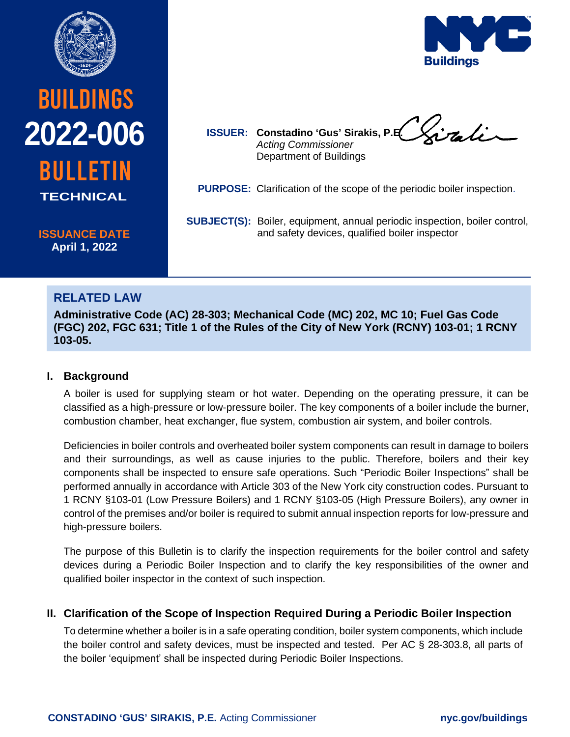

# **BUILDINGS** bulletin **2022-006 TECHNICAL**

**ISSUANCE DATE April 1, 2022**



**ISSUER: Constadino 'Gus' Sirakis, P.E.** *Acting Commissioner* Department of Buildings

**PURPOSE:** Clarification of the scope of the periodic boiler inspection.

SUBJECT(S): Boiler, equipment, annual periodic inspection, boiler control, and safety devices, qualified boiler inspector

# **RELATED LAW**

**Administrative Code (AC) 28-303; Mechanical Code (MC) 202, MC 10; Fuel Gas Code (FGC) 202, FGC 631; Title 1 of the Rules of the City of New York (RCNY) 103-01; 1 RCNY 103-05.**

## **I. Background**

A boiler is used for supplying steam or hot water. Depending on the operating pressure, it can be classified as a high-pressure or low-pressure boiler. The key components of a boiler include the burner, combustion chamber, heat exchanger, flue system, combustion air system, and boiler controls.

Deficiencies in boiler controls and overheated boiler system components can result in damage to boilers and their surroundings, as well as cause injuries to the public. Therefore, boilers and their key components shall be inspected to ensure safe operations. Such "Periodic Boiler Inspections" shall be performed annually in accordance with Article 303 of the New York city construction codes. Pursuant to 1 RCNY §103-01 (Low Pressure Boilers) and 1 RCNY §103-05 (High Pressure Boilers), any owner in control of the premises and/or boiler is required to submit annual inspection reports for low-pressure and high-pressure boilers.

The purpose of this Bulletin is to clarify the inspection requirements for the boiler control and safety devices during a Periodic Boiler Inspection and to clarify the key responsibilities of the owner and qualified boiler inspector in the context of such inspection.

## **II. Clarification of the Scope of Inspection Required During a Periodic Boiler Inspection**

To determine whether a boiler is in a safe operating condition, boiler system components, which include the boiler control and safety devices, must be inspected and tested. Per AC § 28-303.8, all parts of the boiler 'equipment' shall be inspected during Periodic Boiler Inspections.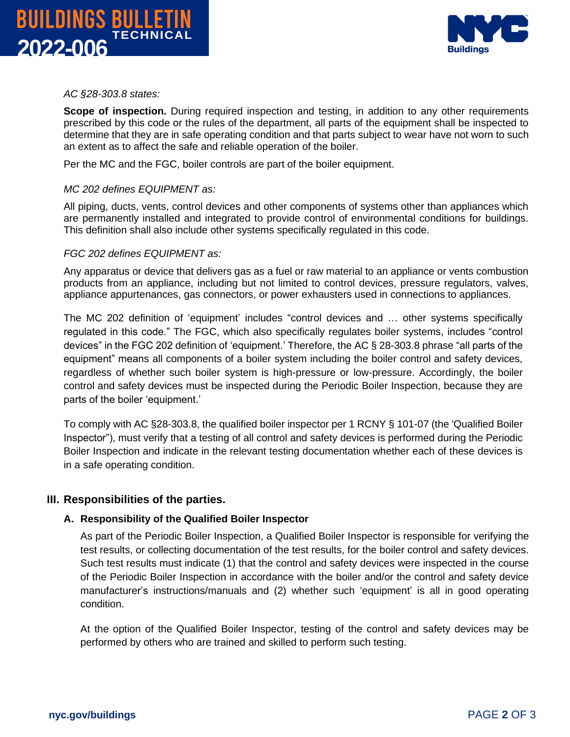



*AC §28-303.8 states:*

**Scope of inspection.** During required inspection and testing, in addition to any other requirements prescribed by this code or the rules of the department, all parts of the equipment shall be inspected to determine that they are in safe operating condition and that parts subject to wear have not worn to such an extent as to affect the safe and reliable operation of the boiler.

Per the MC and the FGC, boiler controls are part of the boiler equipment.

#### *MC 202 defines EQUIPMENT as:*

All piping, ducts, vents, control devices and other components of systems other than appliances which are permanently installed and integrated to provide control of environmental conditions for buildings. This definition shall also include other systems specifically regulated in this code.

#### *FGC 202 defines EQUIPMENT as:*

Any apparatus or device that delivers gas as a fuel or raw material to an appliance or vents combustion products from an appliance, including but not limited to control devices, pressure regulators, valves, appliance appurtenances, gas connectors, or power exhausters used in connections to appliances.

The MC 202 definition of 'equipment' includes "control devices and … other systems specifically regulated in this code." The FGC, which also specifically regulates boiler systems, includes "control devices" in the FGC 202 definition of 'equipment.' Therefore, the AC § 28-303.8 phrase "all parts of the equipment" means all components of a boiler system including the boiler control and safety devices, regardless of whether such boiler system is high-pressure or low-pressure. Accordingly, the boiler control and safety devices must be inspected during the Periodic Boiler Inspection, because they are parts of the boiler 'equipment.'

To comply with AC §28-303.8, the qualified boiler inspector per 1 RCNY § 101-07 (the 'Qualified Boiler Inspector"), must verify that a testing of all control and safety devices is performed during the Periodic Boiler Inspection and indicate in the relevant testing documentation whether each of these devices is in a safe operating condition.

#### **III. Responsibilities of the parties.**

#### **A. Responsibility of the Qualified Boiler Inspector**

As part of the Periodic Boiler Inspection, a Qualified Boiler Inspector is responsible for verifying the test results, or collecting documentation of the test results, for the boiler control and safety devices. Such test results must indicate (1) that the control and safety devices were inspected in the course of the Periodic Boiler Inspection in accordance with the boiler and/or the control and safety device manufacturer's instructions/manuals and (2) whether such 'equipment' is all in good operating condition.

At the option of the Qualified Boiler Inspector, testing of the control and safety devices may be performed by others who are trained and skilled to perform such testing.